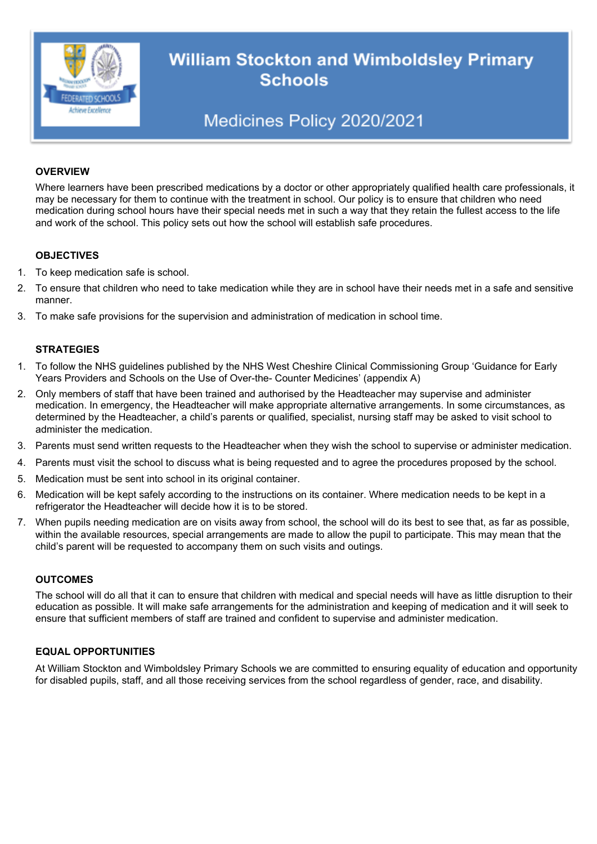

# **William Stockton and Wimboldsley Primary Schools**

## Medicines Policy 2020/2021

#### **OVERVIEW**

Where learners have been prescribed medications by a doctor or other appropriately qualified health care professionals, it may be necessary for them to continue with the treatment in school. Our policy is to ensure that children who need medication during school hours have their special needs met in such a way that they retain the fullest access to the life and work of the school. This policy sets out how the school will establish safe procedures.

#### **OBJECTIVES**

- 1. To keep medication safe is school.
- 2. To ensure that children who need to take medication while they are in school have their needs met in a safe and sensitive manner.
- 3. To make safe provisions for the supervision and administration of medication in school time.

#### **STRATEGIES**

- 1. To follow the NHS guidelines published by the NHS West Cheshire Clinical Commissioning Group 'Guidance for Early Years Providers and Schools on the Use of Over-the- Counter Medicines' (appendix A)
- 2. Only members of staff that have been trained and authorised by the Headteacher may supervise and administer medication. In emergency, the Headteacher will make appropriate alternative arrangements. In some circumstances, as determined by the Headteacher, a child's parents or qualified, specialist, nursing staff may be asked to visit school to administer the medication.
- 3. Parents must send written requests to the Headteacher when they wish the school to supervise or administer medication.
- 4. Parents must visit the school to discuss what is being requested and to agree the procedures proposed by the school.
- 5. Medication must be sent into school in its original container.
- 6. Medication will be kept safely according to the instructions on its container. Where medication needs to be kept in a refrigerator the Headteacher will decide how it is to be stored.
- 7. When pupils needing medication are on visits away from school, the school will do its best to see that, as far as possible, within the available resources, special arrangements are made to allow the pupil to participate. This may mean that the child's parent will be requested to accompany them on such visits and outings.

#### **OUTCOMES**

The school will do all that it can to ensure that children with medical and special needs will have as little disruption to their education as possible. It will make safe arrangements for the administration and keeping of medication and it will seek to ensure that sufficient members of staff are trained and confident to supervise and administer medication.

#### **EQUAL OPPORTUNITIES**

At William Stockton and Wimboldsley Primary Schools we are committed to ensuring equality of education and opportunity for disabled pupils, staff, and all those receiving services from the school regardless of gender, race, and disability.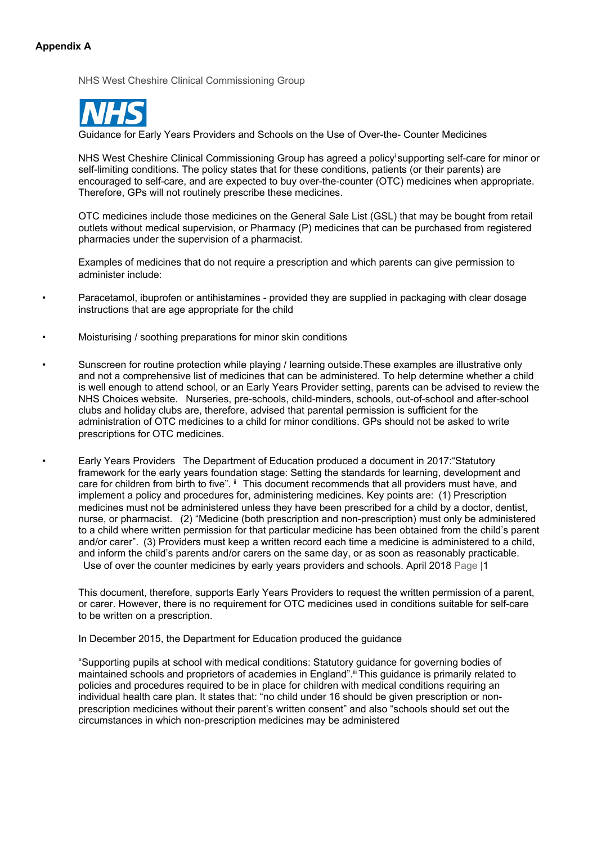#### **Appendix A**

NHS West Cheshire Clinical Commissioning Group



Guidance for Early Years Providers and Schools on the Use of Over-the- Counter Medicines

NHS West Cheshire Clinical Commissioning Group has agreed a policy supporting self-care for minor or self-limiting conditions. The policy states that for these conditions, patients (or their parents) are encouraged to self-care, and are expected to buy over-the-counter (OTC) medicines when appropriate. Therefore, GPs will not routinely prescribe these medicines.

OTC medicines include those medicines on the General Sale List (GSL) that may be bought from retail outlets without medical supervision, or Pharmacy (P) medicines that can be purchased from registered pharmacies under the supervision of a pharmacist.

Examples of medicines that do not require a prescription and which parents can give permission to administer include:

- Paracetamol, ibuprofen or antihistamines provided they are supplied in packaging with clear dosage instructions that are age appropriate for the child
- Moisturising / soothing preparations for minor skin conditions
- Sunscreen for routine protection while playing / learning outside.These examples are illustrative only and not a comprehensive list of medicines that can be administered. To help determine whether a child is well enough to attend school, or an Early Years Provider setting, parents can be advised to review the NHS Choices website. Nurseries, pre-schools, child-minders, schools, out-of-school and after-school clubs and holiday clubs are, therefore, advised that parental permission is sufficient for the administration of OTC medicines to a child for minor conditions. GPs should not be asked to write prescriptions for OTC medicines.
	- Early Years Providers The Department of Education produced a document in 2017:"Statutory framework for the early years foundation stage: Setting the standards for learning, development and care for children from birth to five".  $\mathbb{I}$  This document recommends that all providers must have, and implement a policy and procedures for, administering medicines. Key points are: (1) Prescription medicines must not be administered unless they have been prescribed for a child by a doctor, dentist, nurse, or pharmacist. (2) "Medicine (both prescription and non-prescription) must only be administered to a child where written permission for that particular medicine has been obtained from the child's parent and/or carer". (3) Providers must keep a written record each time a medicine is administered to a child, and inform the child's parents and/or carers on the same day, or as soon as reasonably practicable. Use of over the counter medicines by early years providers and schools. April 2018 Page |1

This document, therefore, supports Early Years Providers to request the written permission of a parent, or carer. However, there is no requirement for OTC medicines used in conditions suitable for self-care to be written on a prescription.

In December 2015, the Department for Education produced the guidance

"Supporting pupils at school with medical conditions: Statutory guidance for governing bodies of maintained schools and proprietors of academies in England". III This guidance is primarily related to policies and procedures required to be in place for children with medical conditions requiring an individual health care plan. It states that: "no child under 16 should be given prescription or nonprescription medicines without their parent's written consent" and also "schools should set out the circumstances in which non-prescription medicines may be administered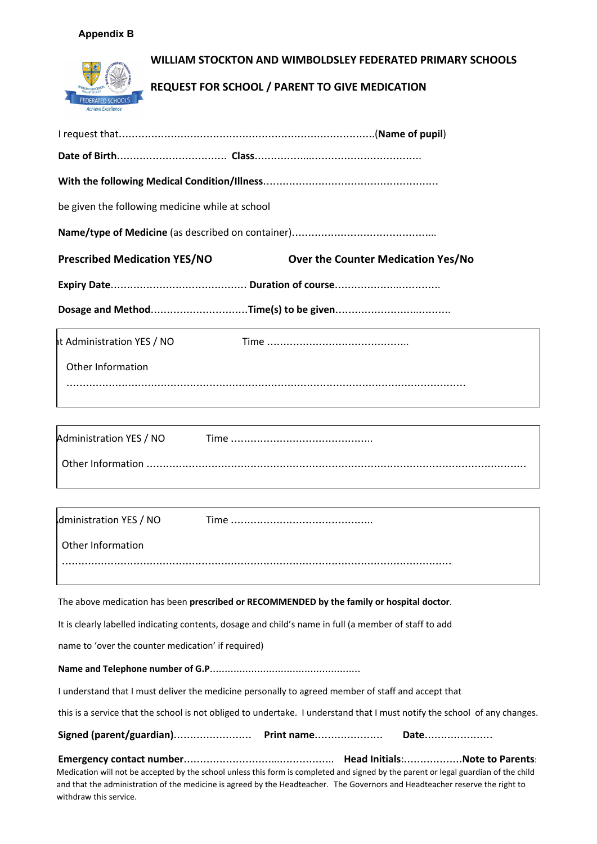#### **Appendix B**



| be given the following medicine while at school                                  |  |  |  |  |
|----------------------------------------------------------------------------------|--|--|--|--|
|                                                                                  |  |  |  |  |
| <b>Prescribed Medication YES/NO</b><br><b>Over the Counter Medication Yes/No</b> |  |  |  |  |
|                                                                                  |  |  |  |  |
|                                                                                  |  |  |  |  |
| It Administration YES / NO                                                       |  |  |  |  |
| Other Information                                                                |  |  |  |  |
|                                                                                  |  |  |  |  |
|                                                                                  |  |  |  |  |

| Administration YES / NO |  |
|-------------------------|--|
|                         |  |

| dministration YES / NO |  |
|------------------------|--|
| Other Information      |  |
|                        |  |

The above medication has been **prescribed or RECOMMENDED by the family or hospital doctor**.

It is clearly labelled indicating contents, dosage and child's name in full (a member of staff to add

name to 'over the counter medication' if required)

**Name and Telephone number of G.P**……………………………………………

I understand that I must deliver the medicine personally to agreed member of staff and accept that

this is a service that the school is not obliged to undertake. I understand that I must notify the school of any changes.

**Signed (parent/guardian)**…………………… **Print name**………………… **Date**…………………

**Emergency contact number**………………………...…………….. **Head Initials**:………………**Note to Parents**: Medication will not be accepted by the school unless this form is completed and signed by the parent or legal guardian of the child and that the administration of the medicine is agreed by the Headteacher. The Governors and Headteacher reserve the right to withdraw this service.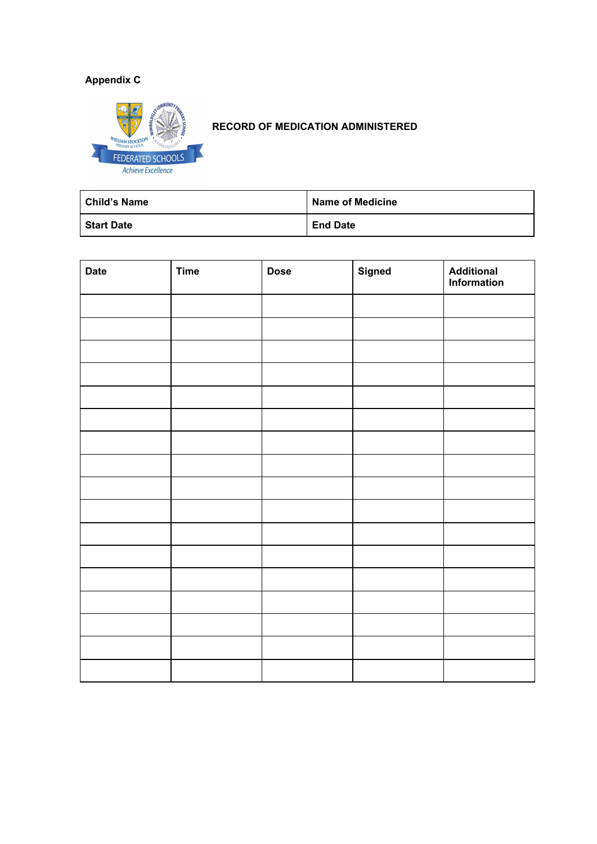### **Appendix C**



### **RECORD OF MEDICATION ADMINISTERED**

| <b>Child's Name</b> | <b>Name of Medicine</b> |
|---------------------|-------------------------|
| <b>Start Date</b>   | <b>End Date</b>         |

| <b>Date</b> | <b>Time</b> | <b>Dose</b> | <b>Signed</b> | <b>Additional</b><br>Information |
|-------------|-------------|-------------|---------------|----------------------------------|
|             |             |             |               |                                  |
|             |             |             |               |                                  |
|             |             |             |               |                                  |
|             |             |             |               |                                  |
|             |             |             |               |                                  |
|             |             |             |               |                                  |
|             |             |             |               |                                  |
|             |             |             |               |                                  |
|             |             |             |               |                                  |
|             |             |             |               |                                  |
|             |             |             |               |                                  |
|             |             |             |               |                                  |
|             |             |             |               |                                  |
|             |             |             |               |                                  |
|             |             |             |               |                                  |
|             |             |             |               |                                  |
|             |             |             |               |                                  |